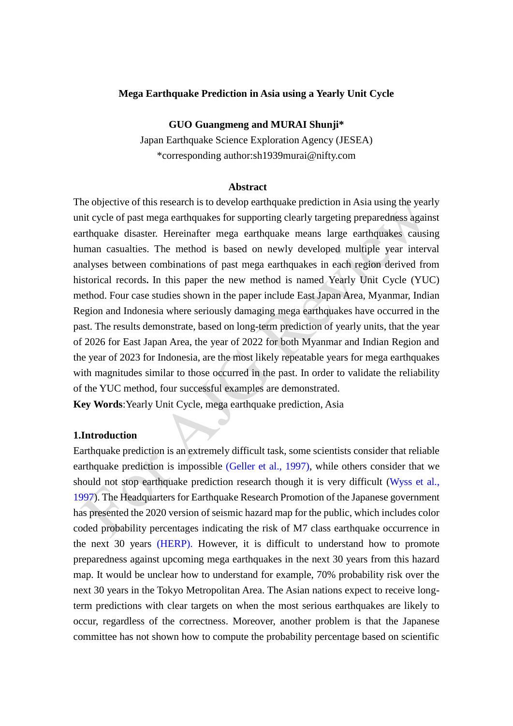### **Mega Earthquake Prediction in Asia using a Yearly Unit Cycle**

### **GUO Guangmeng and MURAI Shunji\***

Japan Earthquake Science Exploration Agency (JESEA) \*corresponding author:sh1939murai@nifty.com

#### **Abstract**

The objective of this research is to develop earthquake prediction in Asia using the yearly unit cycle of past mega earthquakes for supporting clearly targeting preparedness against earthquake disaster. Hereinafter mega earthquake means large earthquakes causing human casualties. The method is based on newly developed multiple year interval analyses between combinations of past mega earthquakes in each region derived from historical records**.** In this paper the new method is named Yearly Unit Cycle (YUC) method. Four case studies shown in the paper include East Japan Area, Myanmar, Indian Region and Indonesia where seriously damaging mega earthquakes have occurred in the past. The results demonstrate, based on long-term prediction of yearly units, that the year of 2026 for East Japan Area, the year of 2022 for both Myanmar and Indian Region and the year of 2023 for Indonesia, are the most likely repeatable years for mega earthquakes with magnitudes similar to those occurred in the past. In order to validate the reliability of the YUC method, four successful examples are demonstrated.

**Key Words**:Yearly Unit Cycle, mega earthquake prediction, Asia

# **1.Introduction**

Earthquake prediction is an extremely difficult task, some scientists consider that reliable earthquake prediction is impossible (Geller et al., 1997), while others consider that we should not stop earthquake prediction research though it is very difficult (Wyss et al., 1997). The Headquarters for Earthquake Research Promotion of the Japanese government has presented the 2020 version of seismic hazard map for the public, which includes color coded probability percentages indicating the risk of M7 class earthquake occurrence in the next 30 years (HERP). However, it is difficult to understand how to promote preparedness against upcoming mega earthquakes in the next 30 years from this hazard map. It would be unclear how to understand for example, 70% probability risk over the next 30 years in the Tokyo Metropolitan Area. The Asian nations expect to receive longterm predictions with clear targets on when the most serious earthquakes are likely to occur, regardless of the correctness. Moreover, another problem is that the Japanese committee has not shown how to compute the probability percentage based on scientific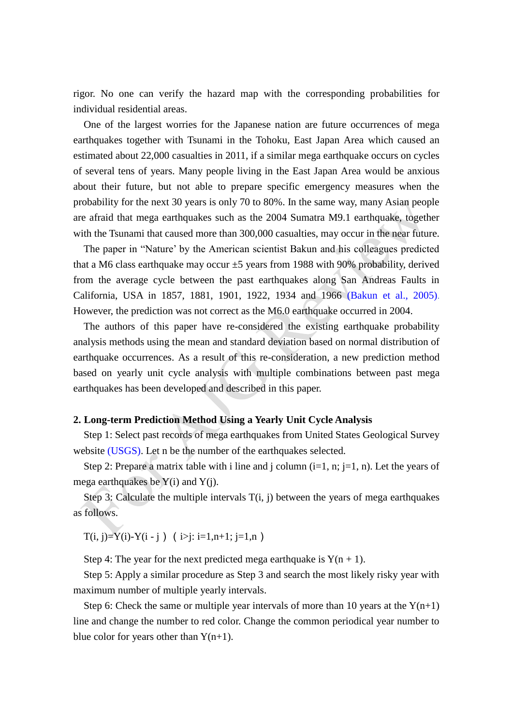rigor. No one can verify the hazard map with the corresponding probabilities for individual residential areas.

One of the largest worries for the Japanese nation are future occurrences of mega earthquakes together with Tsunami in the Tohoku, East Japan Area which caused an estimated about 22,000 casualties in 2011, if a similar mega earthquake occurs on cycles of several tens of years. Many people living in the East Japan Area would be anxious about their future, but not able to prepare specific emergency measures when the probability for the next 30 years is only 70 to 80%. In the same way, many Asian people are afraid that mega earthquakes such as the 2004 Sumatra M9.1 earthquake, together with the Tsunami that caused more than 300,000 casualties, may occur in the near future.

The paper in "Nature' by the American scientist Bakun and his colleagues predicted that a M6 class earthquake may occur  $\pm 5$  years from 1988 with 90% probability, derived from the average cycle between the past earthquakes along San Andreas Faults in California, USA in 1857, 1881, 1901, 1922, 1934 and 1966 (Bakun et al., 2005). However, the prediction was not correct as the M6.0 earthquake occurred in 2004.

The authors of this paper have re-considered the existing earthquake probability analysis methods using the mean and standard deviation based on normal distribution of earthquake occurrences. As a result of this re-consideration, a new prediction method based on yearly unit cycle analysis with multiple combinations between past mega earthquakes has been developed and described in this paper.

# **2. Long-term Prediction Method Using a Yearly Unit Cycle Analysis**

Step 1: Select past records of mega earthquakes from United States Geological Survey website (USGS). Let n be the number of the earthquakes selected.

Step 2: Prepare a matrix table with i line and j column  $(i=1, n; j=1, n)$ . Let the years of mega earthquakes be  $Y(i)$  and  $Y(i)$ .

Step 3: Calculate the multiple intervals  $T(i, j)$  between the years of mega earthquakes as follows.

 $T(i, j) = Y(i) - Y(i - j)$  ( $i > j$ :  $i = 1, n+1$ ;  $j = 1, n$ )

Step 4: The year for the next predicted mega earthquake is  $Y(n + 1)$ .

 Step 5: Apply a similar procedure as Step 3 and search the most likely risky year with maximum number of multiple yearly intervals.

Step 6: Check the same or multiple year intervals of more than 10 years at the  $Y(n+1)$ line and change the number to red color. Change the common periodical year number to blue color for years other than  $Y(n+1)$ .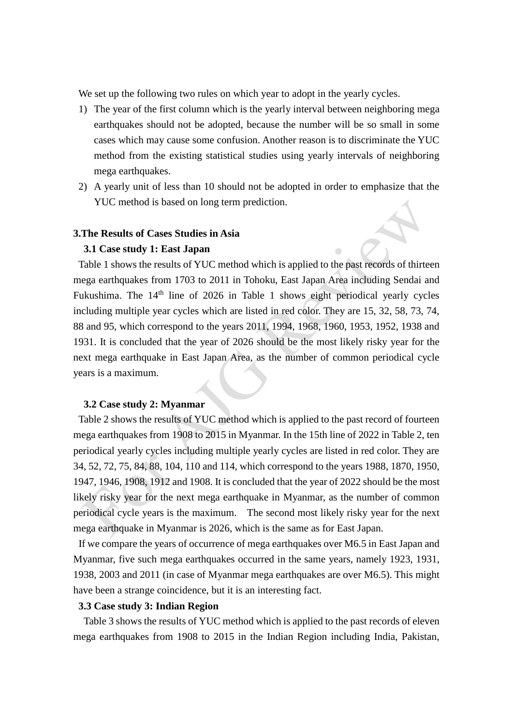We set up the following two rules on which year to adopt in the yearly cycles.

- 1) The year of the first column which is the yearly interval between neighboring mega earthquakes should not be adopted, because the number will be so small in some cases which may cause some confusion. Another reason is to discriminate the YUC method from the existing statistical studies using yearly intervals of neighboring mega earthquakes.
- 2) A yearly unit of less than 10 should not be adopted in order to emphasize that the YUC method is based on long term prediction.

# **3.The Results of Cases Studies in Asia**

#### **3.1 Case study 1: East Japan**

Table 1 shows the results of YUC method which is applied to the past records of thirteen mega earthquakes from 1703 to 2011 in Tohoku, East Japan Area including Sendai and Fukushima. The 14<sup>th</sup> line of 2026 in Table 1 shows eight periodical yearly cycles including multiple year cycles which are listed in red color. They are 15, 32, 58, 73, 74, 88 and 95, which correspond to the years 2011, 1994, 1968, 1960, 1953, 1952, 1938 and 1931. It is concluded that the year of 2026 should be the most likely risky year for the next mega earthquake in East Japan Area, as the number of common periodical cycle years is a maximum.

### **3.2 Case study 2: Myanmar**

Table 2 shows the results of YUC method which is applied to the past record of fourteen mega earthquakes from 1908 to 2015 in Myanmar. In the 15th line of 2022 in Table 2, ten periodical yearly cycles including multiple yearly cycles are listed in red color. They are 34, 52, 72, 75, 84, 88, 104, 110 and 114, which correspond to the years 1988, 1870, 1950, 1947, 1946, 1908, 1912 and 1908. It is concluded that the year of 2022 should be the most likely risky year for the next mega earthquake in Myanmar, as the number of common periodical cycle years is the maximum. The second most likely risky year for the next mega earthquake in Myanmar is 2026, which is the same as for East Japan.

If we compare the years of occurrence of mega earthquakes over M6.5 in East Japan and Myanmar, five such mega earthquakes occurred in the same years, namely 1923, 1931, 1938, 2003 and 2011 (in case of Myanmar mega earthquakes are over M6.5). This might have been a strange coincidence, but it is an interesting fact.

### **3.3 Case study 3: Indian Region**

Table 3 shows the results of YUC method which is applied to the past records of eleven mega earthquakes from 1908 to 2015 in the Indian Region including India, Pakistan,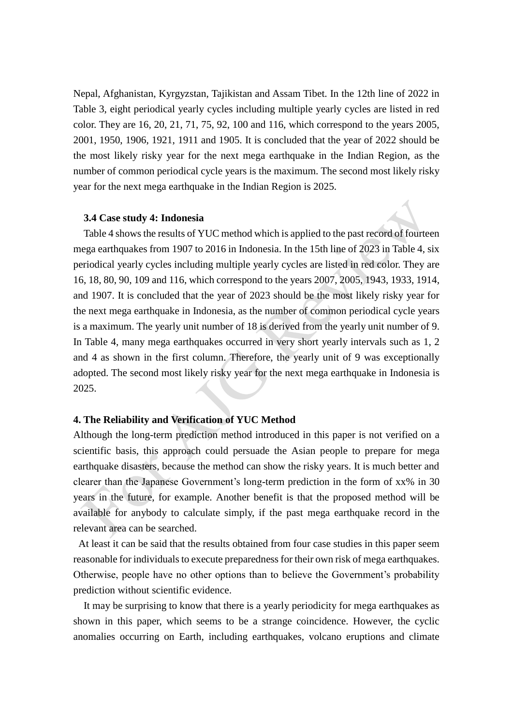Nepal, Afghanistan, Kyrgyzstan, Tajikistan and Assam Tibet. In the 12th line of 2022 in Table 3, eight periodical yearly cycles including multiple yearly cycles are listed in red color. They are 16, 20, 21, 71, 75, 92, 100 and 116, which correspond to the years 2005, 2001, 1950, 1906, 1921, 1911 and 1905. It is concluded that the year of 2022 should be the most likely risky year for the next mega earthquake in the Indian Region, as the number of common periodical cycle years is the maximum. The second most likely risky year for the next mega earthquake in the Indian Region is 2025.

### **3.4 Case study 4: Indonesia**

Table 4 shows the results of YUC method which is applied to the past record of fourteen mega earthquakes from 1907 to 2016 in Indonesia. In the 15th line of 2023 in Table 4, six periodical yearly cycles including multiple yearly cycles are listed in red color. They are 16, 18, 80, 90, 109 and 116, which correspond to the years 2007, 2005, 1943, 1933, 1914, and 1907. It is concluded that the year of 2023 should be the most likely risky year for the next mega earthquake in Indonesia, as the number of common periodical cycle years is a maximum. The yearly unit number of 18 is derived from the yearly unit number of 9. In Table 4, many mega earthquakes occurred in very short yearly intervals such as 1, 2 and 4 as shown in the first column. Therefore, the yearly unit of 9 was exceptionally adopted. The second most likely risky year for the next mega earthquake in Indonesia is 2025.

# **4. The Reliability and Verification of YUC Method**

Although the long-term prediction method introduced in this paper is not verified on a scientific basis, this approach could persuade the Asian people to prepare for mega earthquake disasters, because the method can show the risky years. It is much better and clearer than the Japanese Government's long-term prediction in the form of xx% in 30 years in the future, for example. Another benefit is that the proposed method will be available for anybody to calculate simply, if the past mega earthquake record in the relevant area can be searched.

At least it can be said that the results obtained from four case studies in this paper seem reasonable for individuals to execute preparedness for their own risk of mega earthquakes. Otherwise, people have no other options than to believe the Government's probability prediction without scientific evidence.

It may be surprising to know that there is a yearly periodicity for mega earthquakes as shown in this paper, which seems to be a strange coincidence. However, the cyclic anomalies occurring on Earth, including earthquakes, volcano eruptions and climate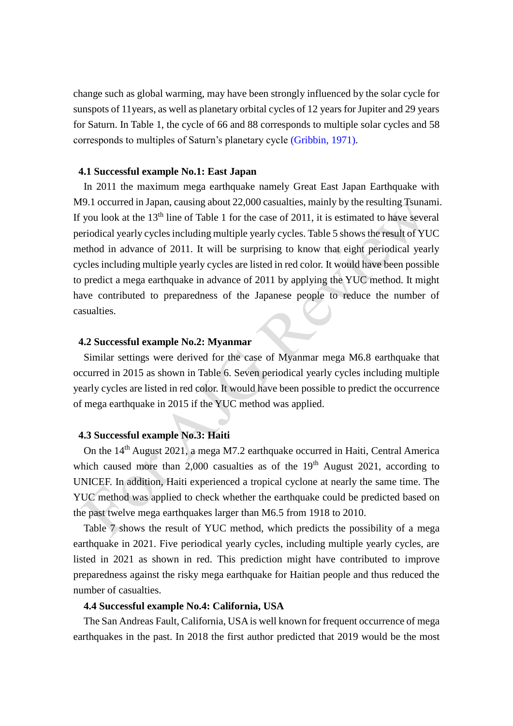change such as global warming, may have been strongly influenced by the solar cycle for sunspots of 11years, as well as planetary orbital cycles of 12 years for Jupiter and 29 years for Saturn. In Table 1, the cycle of 66 and 88 corresponds to multiple solar cycles and 58 corresponds to multiples of Saturn's planetary cycle (Gribbin, 1971).

## **4.1 Successful example No.1: East Japan**

In 2011 the maximum mega earthquake namely Great East Japan Earthquake with M9.1 occurred in Japan, causing about 22,000 casualties, mainly by the resulting Tsunami. If you look at the  $13<sup>th</sup>$  line of Table 1 for the case of 2011, it is estimated to have several periodical yearly cycles including multiple yearly cycles. Table 5 shows the result of YUC method in advance of 2011. It will be surprising to know that eight periodical yearly cycles including multiple yearly cycles are listed in red color. It would have been possible to predict a mega earthquake in advance of 2011 by applying the YUC method. It might have contributed to preparedness of the Japanese people to reduce the number of casualties.

## **4.2 Successful example No.2: Myanmar**

Similar settings were derived for the case of Myanmar mega M6.8 earthquake that occurred in 2015 as shown in Table 6. Seven periodical yearly cycles including multiple yearly cycles are listed in red color. It would have been possible to predict the occurrence of mega earthquake in 2015 if the YUC method was applied.

# **4.3 Successful example No.3: Haiti**

On the 14<sup>th</sup> August 2021, a mega M7.2 earthquake occurred in Haiti, Central America which caused more than  $2,000$  casualties as of the  $19<sup>th</sup>$  August 2021, according to UNICEF. In addition, Haiti experienced a tropical cyclone at nearly the same time. The YUC method was applied to check whether the earthquake could be predicted based on the past twelve mega earthquakes larger than M6.5 from 1918 to 2010.

Table 7 shows the result of YUC method, which predicts the possibility of a mega earthquake in 2021. Five periodical yearly cycles, including multiple yearly cycles, are listed in 2021 as shown in red. This prediction might have contributed to improve preparedness against the risky mega earthquake for Haitian people and thus reduced the number of casualties.

### **4.4 Successful example No.4: California, USA**

The San Andreas Fault, California, USA is well known for frequent occurrence of mega earthquakes in the past. In 2018 the first author predicted that 2019 would be the most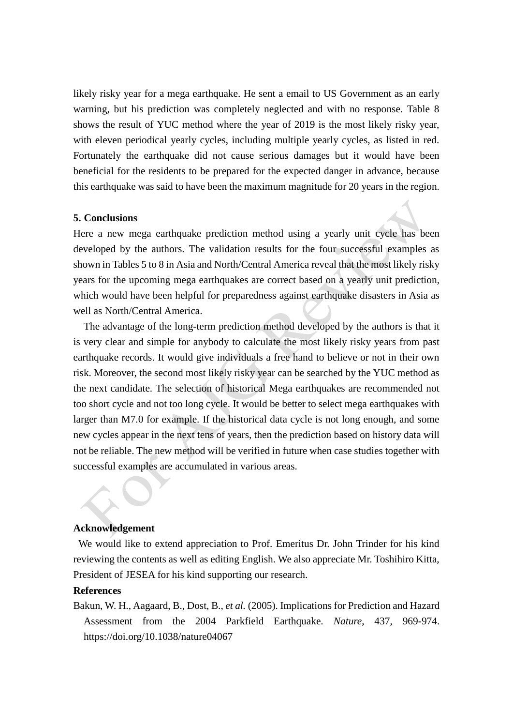likely risky year for a mega earthquake. He sent a email to US Government as an early warning, but his prediction was completely neglected and with no response. Table 8 shows the result of YUC method where the year of 2019 is the most likely risky year, with eleven periodical yearly cycles, including multiple yearly cycles, as listed in red. Fortunately the earthquake did not cause serious damages but it would have been beneficial for the residents to be prepared for the expected danger in advance, because this earthquake was said to have been the maximum magnitude for 20 years in the region.

## **5. Conclusions**

Here a new mega earthquake prediction method using a yearly unit cycle has been developed by the authors. The validation results for the four successful examples as shown in Tables 5 to 8 in Asia and North/Central America reveal that the most likely risky years for the upcoming mega earthquakes are correct based on a yearly unit prediction, which would have been helpful for preparedness against earthquake disasters in Asia as well as North/Central America.

The advantage of the long-term prediction method developed by the authors is that it is very clear and simple for anybody to calculate the most likely risky years from past earthquake records. It would give individuals a free hand to believe or not in their own risk. Moreover, the second most likely risky year can be searched by the YUC method as the next candidate. The selection of historical Mega earthquakes are recommended not too short cycle and not too long cycle. It would be better to select mega earthquakes with larger than M7.0 for example. If the historical data cycle is not long enough, and some new cycles appear in the next tens of years, then the prediction based on history data will not be reliable. The new method will be verified in future when case studies together with successful examples are accumulated in various areas.

## **Acknowledgement**

We would like to extend appreciation to Prof. Emeritus Dr. John Trinder for his kind reviewing the contents as well as editing English. We also appreciate Mr. Toshihiro Kitta, President of JESEA for his kind supporting our research.

#### **References**

Bakun, W. H., Aagaard, B., Dost, B., *et al.* (2005). Implications for Prediction and Hazard Assessment from the 2004 Parkfield Earthquake. *Nature*, 437, 969-974. https://doi.org/10.1038/nature04067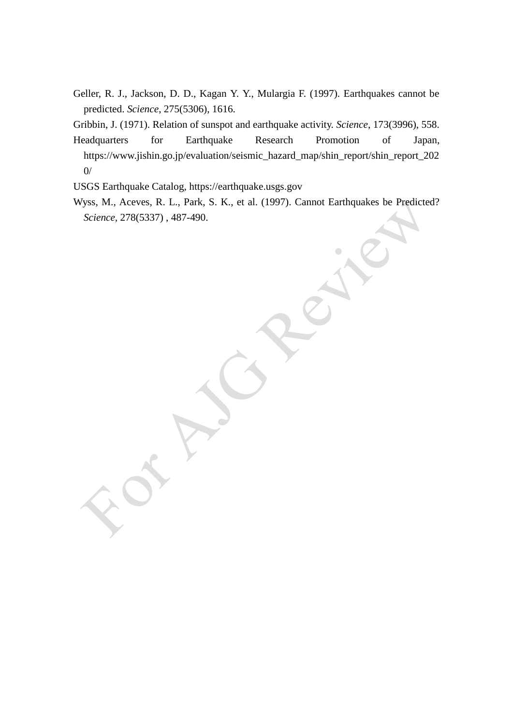Geller, R. J., Jackson, D. D., Kagan Y. Y., Mulargia F. (1997). Earthquakes cannot be predicted. *Science*, 275(5306), 1616.

Gribbin, J. (1971). Relation of sunspot and earthquake activity. *Science*, 173(3996), 558.

Headquarters for Earthquake Research Promotion of Japan, https://www.jishin.go.jp/evaluation/seismic\_hazard\_map/shin\_report/shin\_report\_202 0/

USGS Earthquake Catalog, https://earthquake.usgs.gov

Wyss, M., Aceves, R. L., Park, S. K., et al. (1997). Cannot Earthquakes be Predicted? *Science,* 278(5337) , 487-490.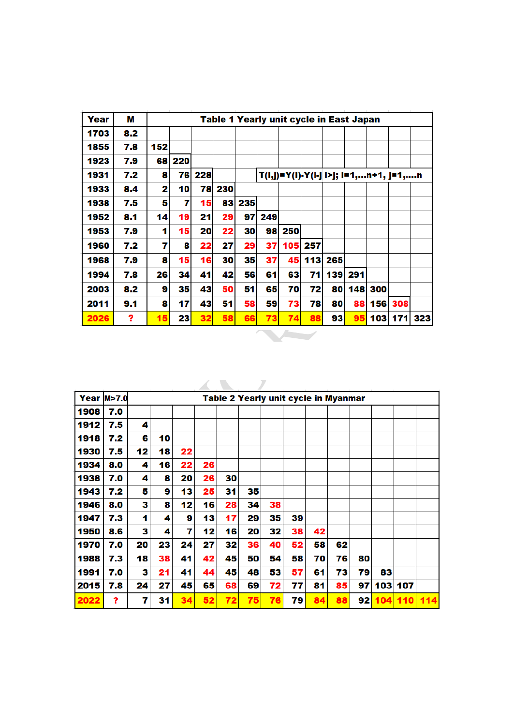| Year | м   |     |                 |        | Table 1 Yearly unit cycle in East Japan |            |        |     |     |     |         |                                       |             |  |
|------|-----|-----|-----------------|--------|-----------------------------------------|------------|--------|-----|-----|-----|---------|---------------------------------------|-------------|--|
| 1703 | 8.2 |     |                 |        |                                         |            |        |     |     |     |         |                                       |             |  |
| 1855 | 7.8 | 152 |                 |        |                                         |            |        |     |     |     |         |                                       |             |  |
| 1923 | 7.9 | 681 | 220             |        |                                         |            |        |     |     |     |         |                                       |             |  |
| 1931 | 7.2 | 8   |                 | 76 228 |                                         |            |        |     |     |     |         | T(i,j)=Y(i)-Y(i-j i>j; i=1,n+1, j=1,n |             |  |
| 1933 | 8.4 | 2   | 10              | 78     | 230                                     |            |        |     |     |     |         |                                       |             |  |
| 1938 | 7.5 | 5   | 7               | 15     | 83                                      | 235        |        |     |     |     |         |                                       |             |  |
| 1952 | 8.1 | 14  | 19              | 21     | 29                                      |            | 97 249 |     |     |     |         |                                       |             |  |
| 1953 | 7.9 | 1   | 15              | 20     | 22                                      | 30         | 98     | 250 |     |     |         |                                       |             |  |
| 1960 | 7.2 | 7   | 8               | 22     | 27                                      | 29         | 37     | 105 | 257 |     |         |                                       |             |  |
| 1968 | 7.9 | 8   | 15 <sup>1</sup> | 16     | 30                                      | 35         | 37     | 45  | 113 | 265 |         |                                       |             |  |
| 1994 | 7.8 | 26  | 34              | 41     | 42                                      | 561        | 61     | 63  | 71  |     | 139 291 |                                       |             |  |
| 2003 | 8.2 | 9   | 35              | 43     | 50                                      | 51         | 65     | 70  | 72  |     |         | 80 148 300                            |             |  |
| 2011 | 9.1 | 8   | 17              | 43     | 51                                      | 58         | 59     | 73  | 78  | 80  | 88      |                                       | 156 308     |  |
| 2026 | ?   | 15  | 23 <sup>1</sup> | 32     | 58                                      | <b>661</b> | 73     | 74  | 88  | 93  | 95      |                                       | 103 171 323 |  |

|      | <b>Year M&gt;7.0</b> |    |    |    |    |    | Table 2 Yearly unit cycle in Myanmar |    |    |    |    |    |     |         |     |
|------|----------------------|----|----|----|----|----|--------------------------------------|----|----|----|----|----|-----|---------|-----|
| 1908 | 7.0                  |    |    |    |    |    |                                      |    |    |    |    |    |     |         |     |
| 1912 | 7.5                  | 4  |    |    |    |    |                                      |    |    |    |    |    |     |         |     |
| 1918 | 7.2                  | 6  | 10 |    |    |    |                                      |    |    |    |    |    |     |         |     |
| 1930 | 7.5                  | 12 | 18 | 22 |    |    |                                      |    |    |    |    |    |     |         |     |
| 1934 | 8.0                  | 4  | 16 | 22 | 26 |    |                                      |    |    |    |    |    |     |         |     |
| 1938 | 7.0                  | 4  | 8  | 20 | 26 | 30 |                                      |    |    |    |    |    |     |         |     |
| 1943 | 7.2                  | 5  | 9  | 13 | 25 | 31 | 35                                   |    |    |    |    |    |     |         |     |
| 1946 | 8.0                  | 3  | 8  | 12 | 16 | 28 | 34                                   | 38 |    |    |    |    |     |         |     |
| 1947 | 7.3                  | 1  | 4  | 9  | 13 | 17 | 29                                   | 35 | 39 |    |    |    |     |         |     |
| 1950 | 8.6                  | 3  | 4  | 7  | 12 | 16 | 20                                   | 32 | 38 | 42 |    |    |     |         |     |
| 1970 | 7.0                  | 20 | 23 | 24 | 27 | 32 | 36                                   | 40 | 52 | 58 | 62 |    |     |         |     |
| 1988 | 7.3                  | 18 | 38 | 41 | 42 | 45 | 50                                   | 54 | 58 | 70 | 76 | 80 |     |         |     |
| 1991 | 7.0                  | 3  | 21 | 41 | 44 | 45 | 48                                   | 53 | 57 | 61 | 73 | 79 | 83  |         |     |
| 2015 | 7.8                  | 24 | 27 | 45 | 65 | 68 | 69                                   | 72 | 77 | 81 | 85 | 97 | 103 | 107     |     |
| 2022 | 2                    | 7  | 31 | 34 | 52 | 72 | 75                                   | 76 | 79 | 84 | 88 | 92 |     | 104 110 | 114 |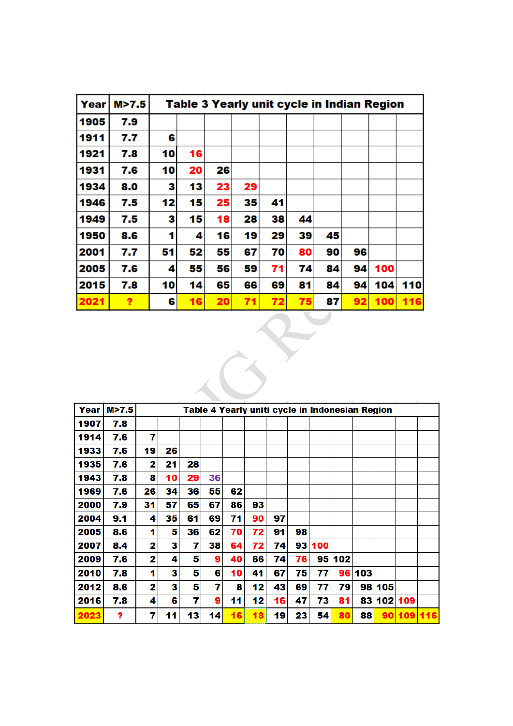| Year | M > 7.5 |    |    |    |    |    |    | Table 3 Yearly unit cycle in Indian Region |    |     |     |
|------|---------|----|----|----|----|----|----|--------------------------------------------|----|-----|-----|
| 1905 | 7.9     |    |    |    |    |    |    |                                            |    |     |     |
| 1911 | 7.7     | 6  |    |    |    |    |    |                                            |    |     |     |
| 1921 | 7.8     | 10 | 16 |    |    |    |    |                                            |    |     |     |
| 1931 | 7.6     | 10 | 20 | 26 |    |    |    |                                            |    |     |     |
| 1934 | 8.0     | 3  | 13 | 23 | 29 |    |    |                                            |    |     |     |
| 1946 | 7.5     | 12 | 15 | 25 | 35 | 41 |    |                                            |    |     |     |
| 1949 | 7.5     | з  | 15 | 18 | 28 | 38 | 44 |                                            |    |     |     |
| 1950 | 8.6     | 1  | 4  | 16 | 19 | 29 | 39 | 45                                         |    |     |     |
| 2001 | 7.7     | 51 | 52 | 55 | 67 | 70 | 80 | 90                                         | 96 |     |     |
| 2005 | 7.6     | 4  | 55 | 56 | 59 | 71 | 74 | 84                                         | 94 | 100 |     |
| 2015 | 7.8     | 10 | 14 | 65 | 66 | 69 | 81 | 84                                         | 94 | 104 | 110 |
| 2021 | ?       | 6  | 16 | 20 | 71 | 72 | 75 | 87                                         | 92 | 100 | 116 |

 $\leftarrow$ 

| Year | M>7.5 |    |    |    |    | Table 4 Yearly uniti cycle in Indonesian Region |    |    |    |     |     |        |            |         |  |
|------|-------|----|----|----|----|-------------------------------------------------|----|----|----|-----|-----|--------|------------|---------|--|
| 1907 | 7.8   |    |    |    |    |                                                 |    |    |    |     |     |        |            |         |  |
| 1914 | 7.6   | 7  |    |    |    |                                                 |    |    |    |     |     |        |            |         |  |
| 1933 | 7.6   | 19 | 26 |    |    |                                                 |    |    |    |     |     |        |            |         |  |
| 1935 | 7.6   | 2  | 21 | 28 |    |                                                 |    |    |    |     |     |        |            |         |  |
| 1943 | 7.8   | 8  | 10 | 29 | 36 |                                                 |    |    |    |     |     |        |            |         |  |
| 1969 | 7.6   | 26 | 34 | 36 | 55 | 62                                              |    |    |    |     |     |        |            |         |  |
| 2000 | 7.9   | 31 | 57 | 65 | 67 | 86                                              | 93 |    |    |     |     |        |            |         |  |
| 2004 | 9.1   | 4  | 35 | 61 | 69 | 71                                              | 90 | 97 |    |     |     |        |            |         |  |
| 2005 | 8.6   | 1  | 5  | 36 | 62 | 70                                              | 72 | 91 | 98 |     |     |        |            |         |  |
| 2007 | 8.4   | 2  | 3  | 7  | 38 | 64                                              | 72 | 74 | 93 | 100 |     |        |            |         |  |
| 2009 | 7.6   | 2  | 4  | 5  | 9  | 40                                              | 66 | 74 | 76 | 951 | 102 |        |            |         |  |
| 2010 | 7.8   | 1  | з  | 5  | 6  | 10                                              | 41 | 67 | 75 | 77  |     | 96 103 |            |         |  |
| 2012 | 8.6   | 2  | 3  | 5  | 7  | 8                                               | 12 | 43 | 69 | 77  | 79  |        | 98 105     |         |  |
| 2016 | 7.8   | 4  | 6  | 7  | 9  | 11                                              | 12 | 16 | 47 | 73  | 81  |        | 83 102 109 |         |  |
| 2023 | ?     | 7  | 11 | 13 | 14 | 16                                              | 18 | 19 | 23 | 54  | 80  | 88     | 90         | 109 116 |  |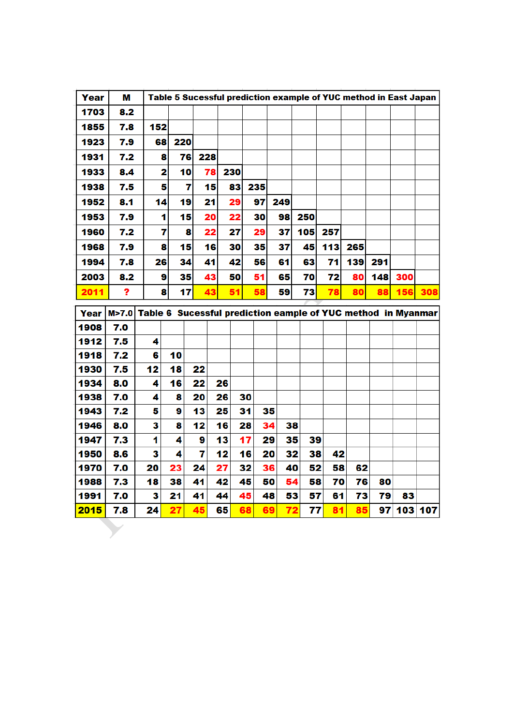| Year | М       |     |    |     |     |    |     |     |    |     |     |     |     |     | Table 5 Sucessful prediction example of YUC method in East Japan |     |
|------|---------|-----|----|-----|-----|----|-----|-----|----|-----|-----|-----|-----|-----|------------------------------------------------------------------|-----|
| 1703 | 8,2     |     |    |     |     |    |     |     |    |     |     |     |     |     |                                                                  |     |
| 1855 | 7.8     | 152 |    |     |     |    |     |     |    |     |     |     |     |     |                                                                  |     |
| 1923 | 7.9     |     | 68 | 220 |     |    |     |     |    |     |     |     |     |     |                                                                  |     |
| 1931 | 7.2     |     | 8  | 76  | 228 |    |     |     |    |     |     |     |     |     |                                                                  |     |
| 1933 | 8,4     |     | 2  | 10  | 78  |    | 230 |     |    |     |     |     |     |     |                                                                  |     |
| 1938 | 7.5     |     | 5  | 7   | 15  |    | 83  | 235 |    |     |     |     |     |     |                                                                  |     |
| 1952 | 8.1     |     | 14 | 19  | 21  |    | 29  | 97  |    | 249 |     |     |     |     |                                                                  |     |
| 1953 | 7.9     |     | 1  | 15  | 20  |    | 22  | 30  |    | 98  | 250 |     |     |     |                                                                  |     |
| 1960 | 7.2     |     | 7  | 8   | 22  |    | 27  | 29  |    | 37  | 105 | 257 |     |     |                                                                  |     |
| 1968 | 7.9     |     | 8  | 15  | 16  |    | 30  | 35  |    | 37  | 45  | 113 | 265 |     |                                                                  |     |
|      |         |     |    |     |     |    | 42  |     |    |     |     |     |     |     |                                                                  |     |
| 1994 | 7.8     |     | 26 | 34  | 41  |    |     | 56  |    | 61  | 63  | 71  | 139 | 291 |                                                                  |     |
| 2003 | 8.2     |     | 9  | 35  | 43  |    | 50  | 51  |    | 65  | 70  | 72  | 80  | 148 | 300                                                              |     |
| 2011 | ?       |     | 8  | 17  | 43  |    | 51  | 58  |    | 59  | 73  | 78  | 80  | 88  | 156                                                              | 308 |
| Year | M > 7.0 |     |    |     |     |    |     |     |    |     |     |     |     |     | Table 6 Sucessful prediction eample of YUC method in Myanmar     |     |
| 1908 | 7.0     |     |    |     |     |    |     |     |    |     |     |     |     |     |                                                                  |     |
| 1912 | 7.5     | 4   |    |     |     |    |     |     |    |     |     |     |     |     |                                                                  |     |
| 1918 | 7.2     | 6   | 10 |     |     |    |     |     |    |     |     |     |     |     |                                                                  |     |
| 1930 | 7.5     | 12  | 18 |     | 22  |    |     |     |    |     |     |     |     |     |                                                                  |     |
| 1934 | 8.0     | 4   | 16 |     | 22  | 26 |     |     |    |     |     |     |     |     |                                                                  |     |
| 1938 | 7.0     | 4   | 8  |     | 20  | 26 |     | 30  |    |     |     |     |     |     |                                                                  |     |
| 1943 | 7.2     | 5   | 9  |     | 13  | 25 |     | 31  | 35 |     |     |     |     |     |                                                                  |     |
| 1946 | 8.0     | 3   | 8  |     | 12  | 16 |     | 28  | 34 | 38  |     |     |     |     |                                                                  |     |
| 1947 | 7.3     | 1   | 4  |     | 9   | 13 |     | 17  | 29 | 35  | 39  |     |     |     |                                                                  |     |
| 1950 | 8.6     | 3   | 4  |     | 7   | 12 |     | 16  | 20 | 32  | 38  | 42  |     |     |                                                                  |     |
| 1970 | 7.0     | 20  | 23 |     | 24  | 27 |     | 32  | 36 | 40  | 52  | 58  | 62  |     |                                                                  |     |

 $7.0$ 

 $7.3$ 

 $7.0$ 

 $7.8$ 

 $\overline{18}$ 

 $\overline{\mathbf{3}}$ 

97 103 107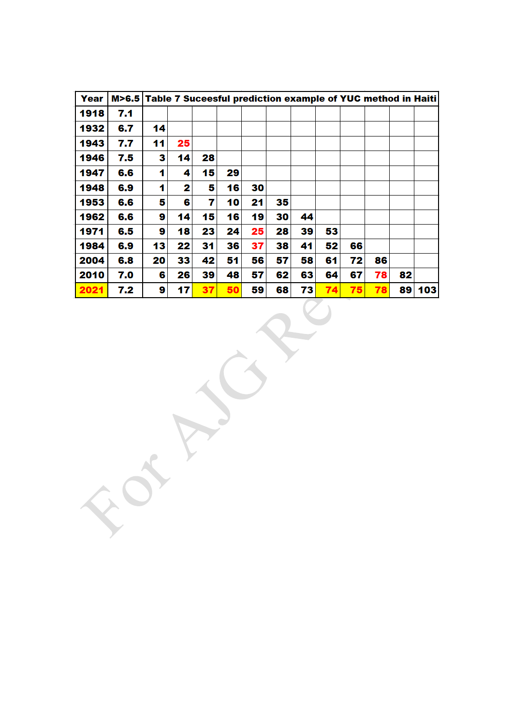| Year | M>6.5 Table 7 Suceesful prediction example of YUC method in Haiti |    |    |    |    |    |    |    |    |    |    |    |     |
|------|-------------------------------------------------------------------|----|----|----|----|----|----|----|----|----|----|----|-----|
| 1918 | 7.1                                                               |    |    |    |    |    |    |    |    |    |    |    |     |
| 1932 | 6.7                                                               | 14 |    |    |    |    |    |    |    |    |    |    |     |
| 1943 | 7.7                                                               | 11 | 25 |    |    |    |    |    |    |    |    |    |     |
| 1946 | 7.5                                                               | 3  | 14 | 28 |    |    |    |    |    |    |    |    |     |
| 1947 | 6.6                                                               | 1  | 4  | 15 | 29 |    |    |    |    |    |    |    |     |
| 1948 | 6.9                                                               | 1  | 2  | 5  | 16 | 30 |    |    |    |    |    |    |     |
| 1953 | 6.6                                                               | 5  | 6  | 7  | 10 | 21 | 35 |    |    |    |    |    |     |
| 1962 | 6.6                                                               | 9  | 14 | 15 | 16 | 19 | 30 | 44 |    |    |    |    |     |
| 1971 | 6.5                                                               | 9  | 18 | 23 | 24 | 25 | 28 | 39 | 53 |    |    |    |     |
| 1984 | 6.9                                                               | 13 | 22 | 31 | 36 | 37 | 38 | 41 | 52 | 66 |    |    |     |
| 2004 | 6.8                                                               | 20 | 33 | 42 | 51 | 56 | 57 | 58 | 61 | 72 | 86 |    |     |
| 2010 | 7.0                                                               | 6  | 26 | 39 | 48 | 57 | 62 | 63 | 64 | 67 | 78 | 82 |     |
| 2021 | 7.2                                                               | 9  | 17 | 37 | 50 | 59 | 68 | 73 | 74 | 75 | 78 | 89 | 103 |
|      |                                                                   |    |    |    |    |    |    |    |    |    |    |    |     |
|      |                                                                   |    |    |    |    |    |    |    |    |    |    |    |     |